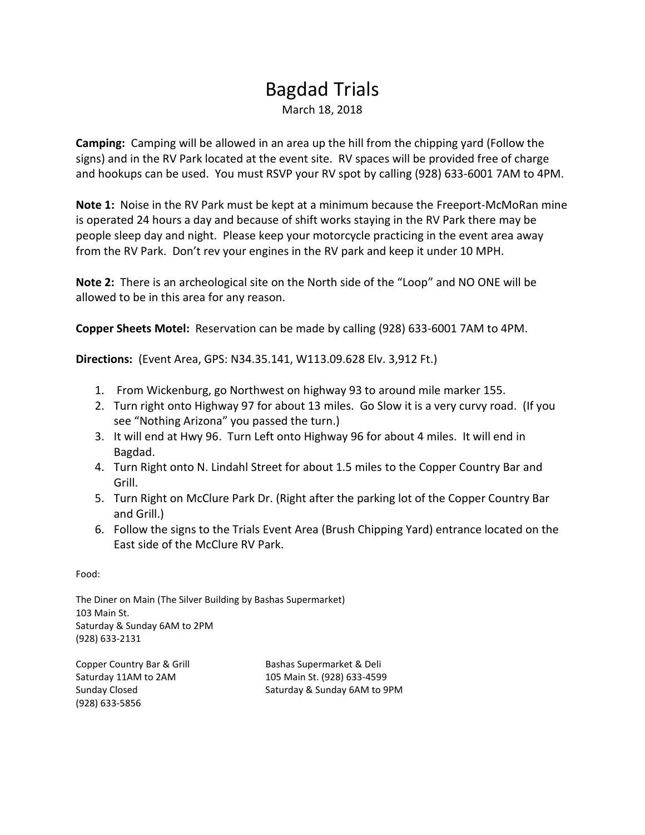## Bagdad Trials March 18, 2018

**Camping:** Camping will be allowed in an area up the hill from the chipping yard (Follow the signs) and in the RV Park located at the event site. RV spaces will be provided free of charge and hookups can be used. You must RSVP your RV spot by calling (928) 633-6001 7AM to 4PM.

**Note 1:** Noise in the RV Park must be kept at a minimum because the Freeport-McMoRan mine is operated 24 hours a day and because of shift works staying in the RV Park there may be people sleep day and night. Please keep your motorcycle practicing in the event area away from the RV Park. Don't rev your engines in the RV park and keep it under 10 MPH.

**Note 2:** There is an archeological site on the North side of the "Loop" and NO ONE will be allowed to be in this area for any reason.

**Copper Sheets Motel:** Reservation can be made by calling (928) 633-6001 7AM to 4PM.

**Directions:** (Event Area, GPS: N34.35.141, W113.09.628 Elv. 3,912 Ft.)

- 1. From Wickenburg, go Northwest on highway 93 to around mile marker 155.
- 2. Turn right onto Highway 97 for about 13 miles. Go Slow it is a very curvy road. (If you see "Nothing Arizona" you passed the turn.)
- 3. It will end at Hwy 96. Turn Left onto Highway 96 for about 4 miles. It will end in Bagdad.
- 4. Turn Right onto N. Lindahl Street for about 1.5 miles to the Copper Country Bar and Grill.
- 5. Turn Right on McClure Park Dr. (Right after the parking lot of the Copper Country Bar and Grill.)
- 6. Follow the signs to the Trials Event Area (Brush Chipping Yard) entrance located on the East side of the McClure RV Park.

Food:

The Diner on Main (The Silver Building by Bashas Supermarket) 103 Main St. Saturday & Sunday 6AM to 2PM (928) 633-2131

(928) 633-5856

Copper Country Bar & Grill Bashas Supermarket & Deli Saturday 11AM to 2AM 105 Main St. (928) 633-4599 Sunday Closed Sunday & Sunday 6AM to 9PM